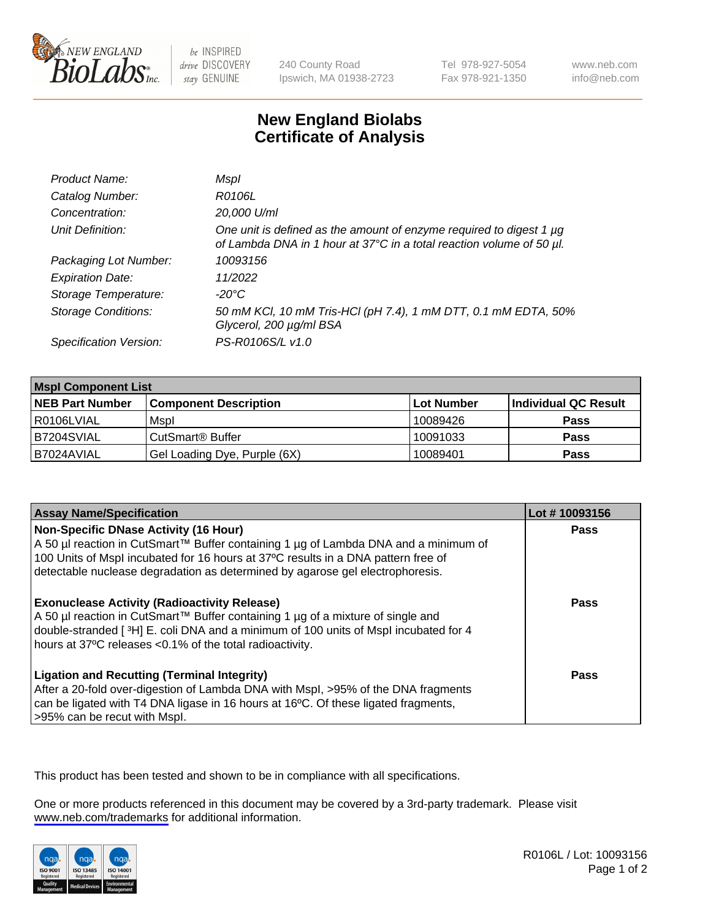

be INSPIRED drive DISCOVERY stay GENUINE

240 County Road Ipswich, MA 01938-2723 Tel 978-927-5054 Fax 978-921-1350

www.neb.com info@neb.com

## **New England Biolabs Certificate of Analysis**

| Product Name:              | Mspl                                                                                                                                        |
|----------------------------|---------------------------------------------------------------------------------------------------------------------------------------------|
| Catalog Number:            | R0106L                                                                                                                                      |
| Concentration:             | 20,000 U/ml                                                                                                                                 |
| Unit Definition:           | One unit is defined as the amount of enzyme required to digest 1 µg<br>of Lambda DNA in 1 hour at 37°C in a total reaction volume of 50 µl. |
| Packaging Lot Number:      | 10093156                                                                                                                                    |
| <b>Expiration Date:</b>    | 11/2022                                                                                                                                     |
| Storage Temperature:       | $-20^{\circ}$ C                                                                                                                             |
| <b>Storage Conditions:</b> | 50 mM KCl, 10 mM Tris-HCl (pH 7.4), 1 mM DTT, 0.1 mM EDTA, 50%<br>Glycerol, 200 µg/ml BSA                                                   |
| Specification Version:     | PS-R0106S/L v1.0                                                                                                                            |

| <b>Mspl Component List</b> |                              |            |                      |  |
|----------------------------|------------------------------|------------|----------------------|--|
| <b>NEB Part Number</b>     | <b>Component Description</b> | Lot Number | Individual QC Result |  |
| I R0106LVIAL               | Mspl                         | 10089426   | <b>Pass</b>          |  |
| IB7204SVIAL                | CutSmart <sup>®</sup> Buffer | 10091033   | <b>Pass</b>          |  |
| B7024AVIAL                 | Gel Loading Dye, Purple (6X) | 10089401   | <b>Pass</b>          |  |

| <b>Assay Name/Specification</b>                                                                                                                                                                                                                                                                           | Lot #10093156 |
|-----------------------------------------------------------------------------------------------------------------------------------------------------------------------------------------------------------------------------------------------------------------------------------------------------------|---------------|
| <b>Non-Specific DNase Activity (16 Hour)</b><br>A 50 µl reaction in CutSmart™ Buffer containing 1 µg of Lambda DNA and a minimum of<br>100 Units of Mspl incubated for 16 hours at 37°C results in a DNA pattern free of<br>detectable nuclease degradation as determined by agarose gel electrophoresis. | <b>Pass</b>   |
| <b>Exonuclease Activity (Radioactivity Release)</b><br>A 50 µl reaction in CutSmart™ Buffer containing 1 µg of a mixture of single and<br>double-stranded [3H] E. coli DNA and a minimum of 100 units of Mspl incubated for 4<br>hours at 37°C releases <0.1% of the total radioactivity.                 | Pass          |
| <b>Ligation and Recutting (Terminal Integrity)</b><br>After a 20-fold over-digestion of Lambda DNA with Mspl, >95% of the DNA fragments<br>can be ligated with T4 DNA ligase in 16 hours at 16 <sup>o</sup> C. Of these ligated fragments,<br>>95% can be recut with Mspl.                                | Pass          |

This product has been tested and shown to be in compliance with all specifications.

One or more products referenced in this document may be covered by a 3rd-party trademark. Please visit <www.neb.com/trademarks>for additional information.